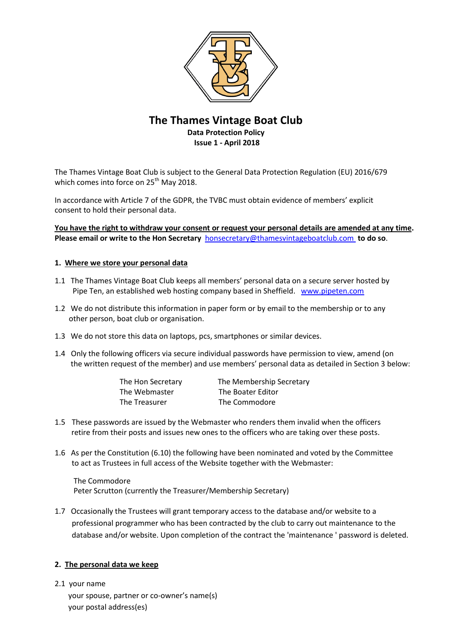

# **The Thames Vintage Boat Club Data Protection Policy Issue 1 - April 2018**

The Thames Vintage Boat Club is subject to the General Data Protection Regulation (EU) 2016/679 which comes into force on 25<sup>th</sup> May 2018.

In accordance with Article 7 of the GDPR, the TVBC must obtain evidence of members' explicit consent to hold their personal data.

**You have the right to withdraw your consent or request your personal details are amended at any time. Please email or write to the Hon Secretary** [honsecretary@thamesvintageboatclub.com](mailto:honsecretary@thamesvintageboatclub.com) **to do so**.

# **1. Where we store your personal data**

- 1.1 The Thames Vintage Boat Club keeps all members' personal data on a secure server hosted by Pipe Ten, an established web hosting company based in Sheffield. [www.pipeten.com](http://www.pipeten.com/)
- 1.2 We do not distribute this information in paper form or by email to the membership or to any other person, boat club or organisation.
- 1.3 We do not store this data on laptops, pcs, smartphones or similar devices.
- 1.4 Only the following officers via secure individual passwords have permission to view, amend (on the written request of the member) and use members' personal data as detailed in Section 3 below:

| The Hon Secretary | The Membership Secretary |
|-------------------|--------------------------|
| The Webmaster     | The Boater Editor        |
| The Treasurer     | The Commodore            |

- 1.5 These passwords are issued by the Webmaster who renders them invalid when the officers retire from their posts and issues new ones to the officers who are taking over these posts.
- 1.6 As per the Constitution (6.10) the following have been nominated and voted by the Committee to act as Trustees in full access of the Website together with the Webmaster:

 The Commodore Peter Scrutton (currently the Treasurer/Membership Secretary)

1.7 Occasionally the Trustees will grant temporary access to the database and/or website to a professional programmer who has been contracted by the club to carry out maintenance to the database and/or website. Upon completion of the contract the 'maintenance ' password is deleted.

### **2. The personal data we keep**

2.1 your name your spouse, partner or co-owner's name(s) your postal address(es)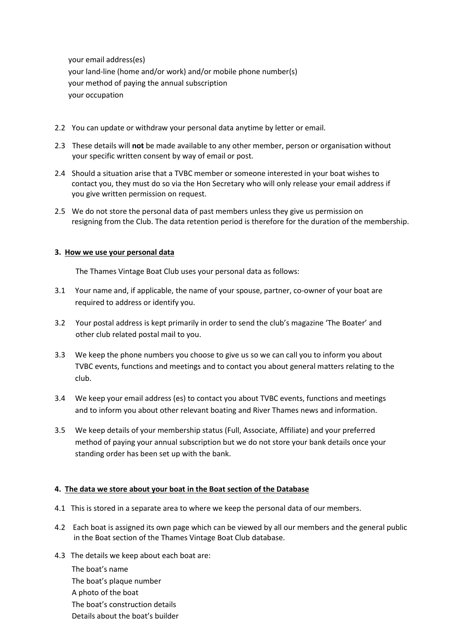your email address(es) your land-line (home and/or work) and/or mobile phone number(s) your method of paying the annual subscription your occupation

- 2.2 You can update or withdraw your personal data anytime by letter or email.
- 2.3 These details will **not** be made available to any other member, person or organisation without your specific written consent by way of email or post.
- 2.4 Should a situation arise that a TVBC member or someone interested in your boat wishes to contact you, they must do so via the Hon Secretary who will only release your email address if you give written permission on request.
- 2.5 We do not store the personal data of past members unless they give us permission on resigning from the Club. The data retention period is therefore for the duration of the membership.

# **3. How we use your personal data**

The Thames Vintage Boat Club uses your personal data as follows:

- 3.1 Your name and, if applicable, the name of your spouse, partner, co-owner of your boat are required to address or identify you.
- 3.2 Your postal address is kept primarily in order to send the club's magazine 'The Boater' and other club related postal mail to you.
- 3.3 We keep the phone numbers you choose to give us so we can call you to inform you about TVBC events, functions and meetings and to contact you about general matters relating to the club.
- 3.4 We keep your email address (es) to contact you about TVBC events, functions and meetings and to inform you about other relevant boating and River Thames news and information.
- 3.5 We keep details of your membership status (Full, Associate, Affiliate) and your preferred method of paying your annual subscription but we do not store your bank details once your standing order has been set up with the bank.

### **4. The data we store about your boat in the Boat section of the Database**

- 4.1 This is stored in a separate area to where we keep the personal data of our members.
- 4.2 Each boat is assigned its own page which can be viewed by all our members and the general public in the Boat section of the Thames Vintage Boat Club database.
- 4.3 The details we keep about each boat are:

 The boat's name The boat's plaque number A photo of the boat The boat's construction details Details about the boat's builder